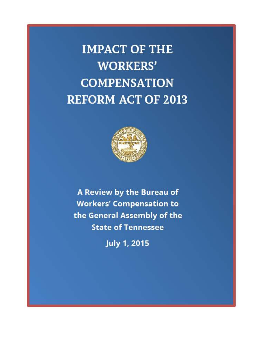**IMPACT OF THE WORKERS' COMPENSATION REFORM ACT OF 2013** 



A Review by the Bureau of **Workers' Compensation to** the General Assembly of the **State of Tennessee** 

**July 1, 2015**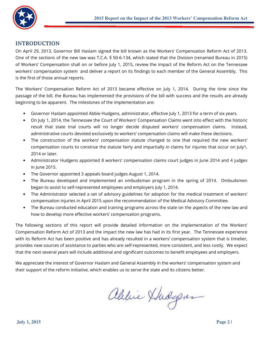

# **INTRODUCTION**

On April 29, 2013, Governor Bill Haslam signed the bill known as the Workers' Compensation Reform Act of 2013. One of the sections of the new law was T.C.A. § 50-6-134, which stated that the Division (renamed Bureau in 2015) of Workers' Compensation shall on or before July 1, 2015, review the impact of the Reform Act on the Tennessee workers' compensation system and deliver a report on its findings to each member of the General Assembly. This is the first of those annual reports.

The Workers' Compensation Reform Act of 2013 became effective on July 1, 2014. During the time since the passage of the bill, the Bureau has implemented the provisions of the bill with success and the results are already beginning to be apparent. The milestones of the implementation are:

- Governor Haslam appointed Abbie Hudgens, administrator, effective July 1, 2013 for a term of six years.
- On July 1, 2014, the Tennessee the Court of Workers' Compensation Claims went into effect with the historic result that state trial courts will no longer decide disputed workers' compensation claims. Instead, administrative courts devoted exclusively to workers' compensation claims will make these decisions.
- The construction of the workers' compensation statute changed to one that required the new workers' compensation courts to construe the statute fairly and impartially in claims for injuries that occur on July1, 2014 or later.
- Administrator Hudgens appointed 8 workers' compensation claims court judges in June 2014 and 4 judges in June 2015.
- The Governor appointed 3 appeals board judges August 1, 2014.
- The Bureau developed and implemented an ombudsman program in the spring of 2014. Ombudsmen began to assist to self-represented employees and employers July 1, 2014.
- The Administrator selected a set of advisory guidelines for adoption for the medical treatment of workers' compensation injuries in April 2015 upon the recommendation of the Medical Advisory Committee.
- The Bureau conducted education and training programs across the state on the aspects of the new law and how to develop more effective workers' compensation programs.

The following sections of this report will provide detailed information on the implementation of the Workers' Compensation Reform Act of 2013 and the impact the new law has had in its first year. The Tennessee experience with its Reform Act has been positive and has already resulted in a workers' compensation system that is timelier, provides new sources of assistance to parties who are self-represented, more consistent, and less costly. We expect that the next several years will include additional and significant outcomes to benefit employees and employers.

We appreciate the interest of Governor Haslam and General Assembly in the workers' compensation system and their support of the reform initiative, which enables us to serve the state and its citizens better.

ablice Xhidgen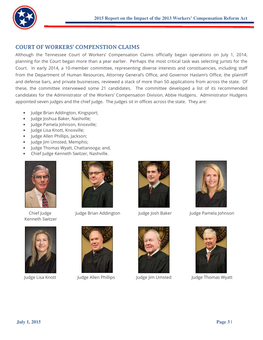

# **COURT OF WORKERS' COMPENSTION CLAIMS**

Although the Tennessee Court of Workers' Compensation Claims officially began operations on July 1, 2014, planning for the Court began more than a year earlier. Perhaps the most critical task was selecting jurists for the Court. In early 2014, a 10-member committee, representing diverse interests and constituencies, including staff from the Department of Human Resources, Attorney General's Office, and Governor Haslam's Office, the plaintiff and defense bars, and private businesses, reviewed a stack of more than 50 applications from across the state. Of these, the committee interviewed some 21 candidates. The committee developed a list of its recommended candidates for the Administrator of the Workers' Compensation Division, Abbie Hudgens. Administrator Hudgens appointed seven judges and the chief judge. The judges sit in offices across the state. They are:

- Judge Brian Addington, Kingsport;
- Judge Joshua Baker, Nashville;
- · Judge Pamela Johnson, Knoxville;
- · Judge Lisa Knott, Knoxville;
- Judge Allen Phillips, Jackson;
- Judge Jim Umsted, Memphis;
- Judge Thomas Wyatt, Chattanooga; and,
- Chief Judge Kenneth Switzer, Nashville.



Chief Iudge Kenneth Switzer



Judge Lisa Knott



Judge Brian Addington



Judge Allen Phillips



Judge Josh Baker



Judge Jim Umsted



Judge Pamela Johnson



Judge Thomas Wyatt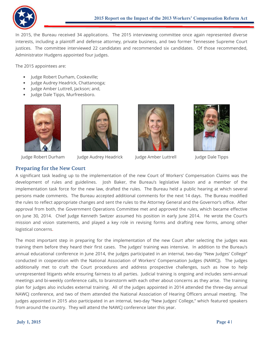

In 2015, the Bureau received 34 applications. The 2015 interviewing committee once again represented diverse interests, including a plaintiff and defense attorney, private business, and two former Tennessee Supreme Court justices. The committee interviewed 22 candidates and recommended six candidates. Of those recommended, Administrator Hudgens appointed four judges.

The 2015 appointees are:

- Judge Robert Durham, Cookeville;
- Judge Audrey Headrick, Chattanooga;
- Judge Amber Luttrell, Jackson; and,
- Judge Dale Tipps, Murfreesboro.





Judge Audrey Headrick



Judge Amber Luttrell



Judge Dale Tipps

Judge Robert Durham

**Preparing for the New Court** 

A significant task leading up to the implementation of the new Court of Workers' Compensation Claims was the development of rules and guidelines. Josh Baker, the Bureau's legislative liaison and a member of the implementation task force for the new law, drafted the rules. The Bureau held a public hearing at which several persons made comments. The Bureau accepted additional comments for the next 14 days. The Bureau modified the rules to reflect appropriate changes and sent the rules to the Attorney General and the Governor's office. After approval from both, the Government Operations Committee met and approved the rules, which became effective on June 30, 2014. Chief Judge Kenneth Switzer assumed his position in early June 2014. He wrote the Court's mission and vision statements, and played a key role in revising forms and drafting new forms, among other logistical concerns.

The most important step in preparing for the implementation of the new Court after selecting the judges was training them before they heard their first cases. The judges' training was intensive. In addition to the Bureau's annual educational conference in June 2014, the judges participated in an internal, two-day "New Judges' College" conducted in cooperation with the National Association of Workers' Compensation Judges (NAWCJ). The judges additionally met to craft the Court procedures and address prospective challenges, such as how to help unrepresented litigants while ensuring fairness to all parties. Judicial training is ongoing and includes semi-annual meetings and bi-weekly conference calls, to brainstorm with each other about concerns as they arise. The training plan for judges also includes external training. All of the judges appointed in 2014 attended the three-day annual NAWCJ conference, and two of them attended the National Association of Hearing Officers annual meeting. The judges appointed in 2015 also participated in an internal, two-day "New Judges' College," which featured speakers from around the country. They will attend the NAWCJ conference later this year.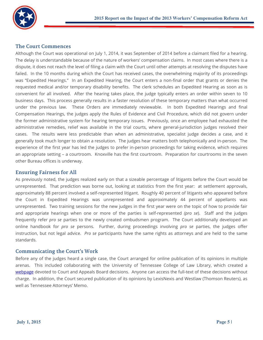

## **The Court Commences**

Although the Court was operational on July 1, 2014, it was September of 2014 before a claimant filed for a hearing. The delay is understandable because of the nature of workers' compensation claims. In most cases where there is a dispute, it does not reach the level of filing a claim with the Court until other attempts at resolving the disputes have failed. In the 10 months during which the Court has received cases, the overwhelming majority of its proceedings was "Expedited Hearings." In an Expedited Hearing, the Court enters a non-final order that grants or denies the requested medical and/or temporary disability benefits. The clerk schedules an Expedited Hearing as soon as is convenient for all involved. After the hearing takes place, the judge typically enters an order within seven to 10 business days. This process generally results in a faster resolution of these temporary matters than what occurred under the previous law. These Orders are immediately reviewable. In both Expedited Hearings and final Compensation Hearings, the judges apply the Rules of Evidence and Civil Procedure, which did not govern under the former administrative system for hearing temporary issues. Previously, once an employee had exhausted the administrative remedies, relief was available in the trial courts, where general-jurisdiction judges resolved their cases. The results were less predictable than when an administrative, specialist judge decides a case, and it generally took much longer to obtain a resolution. The judges hear matters both telephonically and in-person. The experience of the first year has led the judges to prefer in-person proceedings for taking evidence, which requires an appropriate setting – a courtroom. Knoxville has the first courtroom. Preparation for courtrooms in the seven other Bureau offices is underway.

## **Ensuring Fairness for All**

As previously noted, the judges realized early on that a sizeable percentage of litigants before the Court would be unrepresented. That prediction was borne out, looking at statistics from the first year: at settlement approvals, approximately 88 percent involved a self-represented litigant. Roughly 40 percent of litigants who appeared before the Court in Expedited Hearings was unrepresented and approximately 44 percent of appellants was unrepresented. Two training sessions for the new judges in the first year were on the topic of how to provide fair and appropriate hearings when one or more of the parties is self-represented (pro se). Staff and the judges frequently refer pro se parties to the newly created ombudsmen program. The Court additionally developed an online handbook for pro se persons. Further, during proceedings involving pro se parties, the judges offer instruction, but not legal advice. Pro se participants have the same rights as attorneys and are held to the same standards.

## **Communicating the Court's Work**

Before any of the judges heard a single case, the Court arranged for online publication of its opinions in multiple arenas. This included collaborating with the University of Tennessee College of Law Library, which created a webpage devoted to Court and Appeals Board decisions. Anyone can access the full-text of these decisions without charge. In addition, the Court secured publication of its opinions by LexisNexis and Westlaw (Thomson Reuters), as well as Tennessee Attorneys' Memo.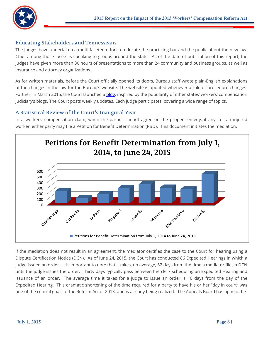

## **Educating Stakeholders and Tennesseans**

The judges have undertaken a multi-faceted effort to educate the practicing bar and the public about the new law. Chief among those facets is speaking to groups around the state. As of the date of publication of this report, the judges have given more than 30 hours of presentations to more than 24 community and business groups, as well as insurance and attorney organizations.

As for written materials, before the Court officially opened its doors, Bureau staff wrote plain-English explanations of the changes in the law for the Bureau's website. The website is updated whenever a rule or procedure changes. Further, in March 2015, the Court launched a blog, inspired by the popularity of other states' workers' compensation judiciary's blogs. The Court posts weekly updates. Each judge participates, covering a wide range of topics.

## A Statistical Review of the Court's Inaugural Year

In a workers' compensation claim, when the parties cannot agree on the proper remedy, if any, for an injured worker, either party may file a Petition for Benefit Determination (PBD). This document initiates the mediation.



If the mediation does not result in an agreement, the mediator certifies the case to the Court for hearing using a Dispute Certification Notice (DCN). As of June 24, 2015, the Court has conducted 86 Expedited Hearings in which a judge issued an order. It is important to note that it takes, on average, 52 days from the time a mediator files a DCN until the judge issues the order. Thirty days typically pass between the clerk scheduling an Expedited Hearing and issuance of an order. The average time it takes for a judge to issue an order is 10 days from the day of the Expedited Hearing. This dramatic shortening of the time required for a party to have his or her "day in court" was one of the central goals of the Reform Act of 2013, and is already being realized. The Appeals Board has upheld the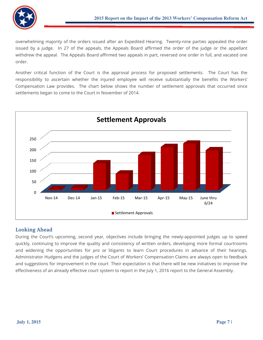

overwhelming majority of the orders issued after an Expedited Hearing. Twenty-nine parties appealed the order issued by a judge. In 27 of the appeals, the Appeals Board affirmed the order of the judge or the appellant withdrew the appeal. The Appeals Board affirmed two appeals in part, reversed one order in full, and vacated one order.

Another critical function of the Court is the approval process for proposed settlements. The Court has the responsibility to ascertain whether the injured employee will receive substantially the benefits the Workers' Compensation Law provides. The chart below shows the number of settlement approvals that occurred since settlements began to come to the Court in November of 2014.



# **Looking Ahead**

During the Court's upcoming, second year, objectives include bringing the newly-appointed judges up to speed quickly, continuing to improve the quality and consistency of written orders, developing more formal courtrooms and widening the opportunities for pro se litigants to learn Court procedures in advance of their hearings. Administrator Hudgens and the judges of the Court of Workers' Compensation Claims are always open to feedback and suggestions for improvement in the court Their expectation is that there will be new initiatives to improve the effectiveness of an already effective court system to report in the July 1, 2016 report to the General Assembly.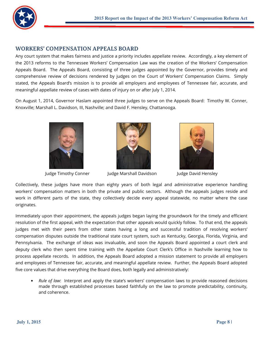

# **WORKERS' COMPENSATION APPEALS BOARD**

Any court system that makes fairness and justice a priority includes appellate review. Accordingly, a key element of the 2013 reforms to the Tennessee Workers' Compensation Law was the creation of the Workers' Compensation Appeals Board. The Appeals Board, consisting of three judges appointed by the Governor, provides timely and comprehensive review of decisions rendered by judges on the Court of Workers' Compensation Claims. Simply stated, the Appeals Board's mission is to provide all employers and employees of Tennessee fair, accurate, and meaningful appellate review of cases with dates of injury on or after July 1, 2014.

On August 1, 2014, Governor Haslam appointed three judges to serve on the Appeals Board: Timothy W. Conner, Knoxville; Marshall L. Davidson, III, Nashville; and David F. Hensley, Chattanooga.



Judge Timothy Conner



Judge Marshall Davidson



Judge David Hensley

Collectively, these judges have more than eighty years of both legal and administrative experience handling workers' compensation matters in both the private and public sectors. Although the appeals judges reside and work in different parts of the state, they collectively decide every appeal statewide, no matter where the case originates.

Immediately upon their appointment, the appeals judges began laying the groundwork for the timely and efficient resolution of the first appeal, with the expectation that other appeals would quickly follow. To that end, the appeals judges met with their peers from other states having a long and successful tradition of resolving workers' compensation disputes outside the traditional state court system, such as Kentucky, Georgia, Florida, Virginia, and Pennsylvania. The exchange of ideas was invaluable, and soon the Appeals Board appointed a court clerk and deputy clerk who then spent time training with the Appellate Court Clerk's Office in Nashville learning how to process appellate records. In addition, the Appeals Board adopted a mission statement to provide all employers and employees of Tennessee fair, accurate, and meaningful appellate review. Further, the Appeals Board adopted five core values that drive everything the Board does, both legally and administratively:

• Rule of law: Interpret and apply the state's workers' compensation laws to provide reasoned decisions made through established processes based faithfully on the law to promote predictability, continuity, and coherence.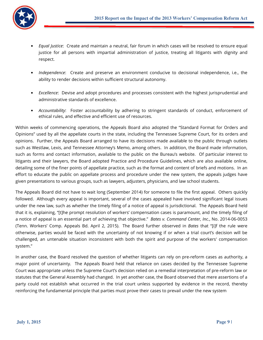

- Equal Justice: Create and maintain a neutral, fair forum in which cases will be resolved to ensure equal justice for all persons with impartial administration of justice, treating all litigants with dignity and respect.
- Independence: Create and preserve an environment conducive to decisional independence, i.e., the ability to render decisions within sufficient structural autonomy.
- Excellence: Devise and adopt procedures and processes consistent with the highest jurisprudential and administrative standards of excellence.
- Accountability: Foster accountability by adhering to stringent standards of conduct, enforcement of ethical rules, and effective and efficient use of resources.

Within weeks of commencing operations, the Appeals Board also adopted the "Standard Format for Orders and Opinions" used by all the appellate courts in the state, including the Tennessee Supreme Court, for its orders and opinions. Further, the Appeals Board arranged to have its decisions made available to the public through outlets such as Westlaw, Lexis, and Tennessee Attorney's Memo, among others. In addition, the Board made information, such as forms and contact information, available to the public on the Bureau's website. Of particular interest to litigants and their lawyers, the Board adopted Practice and Procedure Guidelines, which are also available online, detailing some of the finer points of appellate practice, such as the format and content of briefs and motions. In an effort to educate the public on appellate process and procedure under the new system, the appeals judges have given presentations to various groups, such as lawyers, adjusters, physicians, and law school students.

The Appeals Board did not have to wait long (September 2014) for someone to file the first appeal. Others quickly followed. Although every appeal is important, several of the cases appealed have involved significant legal issues under the new law, such as whether the timely filing of a notice of appeal is jurisdictional. The Appeals Board held that it is, explaining, "[t]he prompt resolution of workers' compensation cases is paramount, and the timely filing of a notice of appeal is an essential part of achieving that objective." Bates v. Command Center, Inc., No. 2014-06-0053 (Tenn. Workers' Comp. Appeals Bd. April 2, 2015). The Board further observed in Bates that "[i]f the rule were otherwise, parties would be faced with the uncertainty of not knowing if or when a trial court's decision will be challenged, an untenable situation inconsistent with both the spirit and purpose of the workers' compensation system."

In another case, the Board resolved the question of whether litigants can rely on pre-reform cases as authority, a major point of uncertainty. The Appeals Board held that reliance on cases decided by the Tennessee Supreme Court was appropriate unless the Supreme Court's decision relied on a remedial interpretation of pre-reform law or statutes that the General Assembly had changed. In yet another case, the Board observed that mere assertions of a party could not establish what occurred in the trial court unless supported by evidence in the record, thereby reinforcing the fundamental principle that parties must prove their cases to prevail under the new system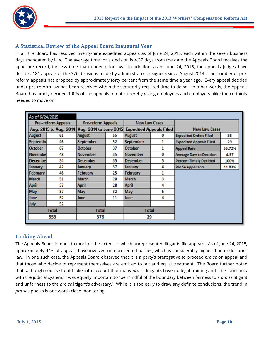

# A Statistical Review of the Appeal Board Inaugural Year

In all, the Board has resolved twenty-nine expedited appeals as of June 24, 2015, each within the seven business days mandated by law. The average time for a decision is 4.37 days from the date the Appeals Board receives the appellate record, far less time than under prior law. In addition, as of June 24, 2015, the appeals judges have decided 181 appeals of the 376 decisions made by administrator designees since August 2014. The number of prereform appeals has dropped by approximately forty percent from the same time a year ago. Every appeal decided under pre-reform law has been resolved within the statutorily required time to do so. In other words, the Appeals Board has timely decided 100% of the appeals to date, thereby giving employees and employers alike the certainty needed to move on.

| As of 6/24/2015            |    |                                               |    |                                |          |                                 |        |
|----------------------------|----|-----------------------------------------------|----|--------------------------------|----------|---------------------------------|--------|
| <b>Pre--reform Appeals</b> |    | <b>Pre-reform Appeals</b>                     |    | <b>New Law Cases</b>           |          |                                 |        |
|                            |    | Aug. 2013 to Aug. 2014 Aug. 2014 to June 2015 |    | <b>Expedited Appeals Filed</b> |          | <b>New Law Cases</b>            |        |
| <b>August</b>              | 61 | <b>August</b>                                 | 55 | <b>August</b>                  | $\bf{0}$ | <b>Expedited Orders Filed</b>   | 86     |
| <b>Septembe</b>            | 46 | <b>September</b>                              | 52 | <b>September</b>               | 1        | <b>Expedited Appeals Filed</b>  | 29     |
| <b>October</b>             | 67 | <b>October</b>                                | 37 | <b>October</b>                 | 1        | <b>Appeal Rate</b>              | 33.72% |
| <b>Novembe</b>             | 48 | <b>November</b>                               | 35 | <b>November</b>                | $\bf{0}$ | <b>Average Days to Decision</b> | 4.37   |
| <b>Decembel</b>            | 34 | <b>December</b>                               | 35 | <b>December</b>                | 5        | <b>Percent Timely Decided</b>   | 100%   |
| January                    | 42 | January                                       | 37 | January                        | 4        | <b>Pro Se Appellants</b>        | 44.83% |
| February                   | 46 | February                                      | 25 | February                       | 1        |                                 |        |
| <b>March</b>               | 51 | <b>March</b>                                  | 29 | <b>March</b>                   | 3        |                                 |        |
| <b>April</b>               | 37 | <b>April</b>                                  | 28 | <b>April</b>                   | 4        |                                 |        |
| May                        | 37 | May                                           | 32 | May                            | 6        |                                 |        |
| June                       | 32 | June                                          | 11 | June                           | 4        |                                 |        |
| July                       | 52 |                                               |    |                                |          |                                 |        |
| <b>Total</b>               |    | <b>Total</b>                                  |    | <b>Total</b>                   |          |                                 |        |
| 553                        |    | 376                                           |    | 29                             |          |                                 |        |
|                            |    |                                               |    |                                |          |                                 |        |

# **Looking Ahead**

The Appeals Board intends to monitor the extent to which unrepresented litigants file appeals. As of June 24, 2015, approximately 44% of appeals have involved unrepresented parties, which is considerably higher than under prior law. In one such case, the Appeals Board observed that it is a party's prerogative to proceed pro se on appeal and that those who decide to represent themselves are entitled to fair and equal treatment. The Board further noted that, although courts should take into account that many pro se litigants have no legal training and little familiarity with the judicial system, it was equally important to "be mindful of the boundary between fairness to a pro se litigant and unfairness to the pro se litigant's adversary." While it is too early to draw any definite conclusions, the trend in pro se appeals is one worth close monitoring.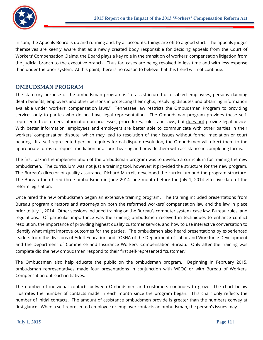

In sum, the Appeals Board is up and running and, by all accounts, things are off to a good start. The appeals judges themselves are keenly aware that as a newly created body responsible for deciding appeals from the Court of Workers' Compensation Claims, the Board plays a key role in the transition of workers' compensation litigation from the judicial branch to the executive branch. Thus far, cases are being resolved in less time and with less expense than under the prior system. At this point, there is no reason to believe that this trend will not continue.

# **OMBUDSMAN PROGRAM**

The statutory purpose of the ombudsman program is "to assist injured or disabled employees, persons claiming death benefits, employers and other persons in protecting their rights, resolving disputes and obtaining information available under workers' compensation laws." Tennessee law restricts the Ombudsman Program to providing services only to parties who do not have legal representation. The Ombudsman program provides these selfrepresented customers information on processes, procedures, rules, and laws, but does not provide legal advice. With better information, employees and employers are better able to communicate with other parties in their workers' compensation dispute, which may lead to resolution of their issues without formal mediation or court hearing. If a self-represented person requires formal dispute resolution, the Ombudsmen will direct them to the appropriate forms to request mediation or a court hearing and provide them with assistance in completing forms.

The first task in the implementation of the ombudsman program was to develop a curriculum for training the new ombudsmen. The curriculum was not just a training tool, however; it provided the structure for the new program. The Bureau's director of quality assurance, Richard Murrell, developed the curriculum and the program structure. The Bureau then hired three ombudsmen in June 2014, one month before the July 1, 2014 effective date of the reform legislation.

Once hired the new ombudsmen began an extensive training program. The training included presentations from Bureau program directors and attorneys on both the reformed workers' compensation law and the law in place prior to July 1, 2014. Other sessions included training on the Bureau's computer system, case law, Bureau rules, and regulations. Of particular importance was the training ombudsmen received in techniques to enhance conflict resolution, the importance of providing highest quality customer service, and how to use interactive conversation to identify what might improve outcomes for the parties. The ombudsmen also heard presentations by experienced leaders from the divisions of Adult Education and TOSHA of the Department of Labor and Workforce Development and the Department of Commerce and Insurance Workers' Compensation Bureau. Only after the training was complete did the new ombudsmen respond to their first self-represented "customer."

The Ombudsmen also help educate the public on the ombudsman program. Beginning in February 2015, ombudsman representatives made four presentations in conjunction with WEOC or with Bureau of Workers' Compensation outreach initiatives.

The number of individual contacts between Ombudsmen and customers continues to grow. The chart below illustrates the number of contacts made in each month since the program began. This chart only reflects the number of initial contacts. The amount of assistance ombudsmen provide is greater than the numbers convey at first glance. When a self-represented employee or employer contacts an ombudsman, the person's issues may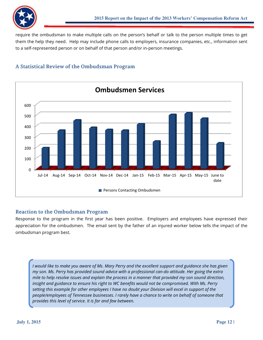

require the ombudsman to make multiple calls on the person's behalf or talk to the person multiple times to get them the help they need. Help may include phone calls to employers, insurance companies, etc., information sent to a self-represented person or on behalf of that person and/or in-person meetings.

# A Statistical Review of the Ombudsman Program



## **Reaction to the Ombudsman Program**

Response to the program in the first year has been positive. Employers and employees have expressed their appreciation for the ombudsmen. The email sent by the father of an injured worker below tells the impact of the ombudsman program best.

I would like to make you aware of Ms. Mary Perry and the excellent support and guidance she has given my son. Ms. Perry has provided sound advice with a professional can-do attitude. Her going the extra mile to help resolve issues and explain the process in a manner that provided my son sound direction, insight and guidance to ensure his right to WC benefits would not be compromised. With Ms. Perry setting this example for other employees I have no doubt your Division will excel in support of the people/employees of Tennessee businesses. I rarely have a chance to write on behalf of someone that provides this level of service. It is far and few between.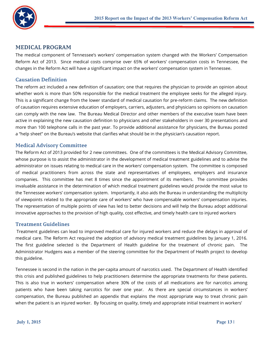

## **MEDICAL PROGRAM**

The medical component of Tennessee's workers' compensation system changed with the Workers' Compensation Reform Act of 2013. Since medical costs comprise over 65% of workers' compensation costs in Tennessee, the changes in the Reform Act will have a significant impact on the workers' compensation system in Tennessee.

#### **Causation Definition**

The reform act included a new definition of causation; one that requires the physician to provide an opinion about whether work is more than 50% responsible for the medical treatment the employee seeks for the alleged injury. This is a significant change from the lower standard of medical causation for pre-reform claims. The new definition of causation requires extensive education of employers, carriers, adjusters, and physicians so opinions on causation can comply with the new law. The Bureau Medical Director and other members of the executive team have been active in explaining the new causation definition to physicians and other stakeholders in over 30 presentations and more than 100 telephone calls in the past year. To provide additional assistance for physicians, the Bureau posted a "help sheet" on the Bureau's website that clarifies what should be in the physician's causation report.

#### **Medical Advisory Committee**

The Reform Act of 2013 provided for 2 new committees. One of the committees is the Medical Advisory Committee, whose purpose is to assist the administrator in the development of medical treatment guidelines and to advise the administrator on issues relating to medical care in the workers' compensation system. The committee is composed of medical practitioners from across the state and representatives of employees, employers and insurance companies. This committee has met 8 times since the appointment of its members. The committee provides invaluable assistance in the determination of which medical treatment guidelines would provide the most value to the Tennessee workers' compensation system. Importantly, it also aids the Bureau in understanding the multiplicity of viewpoints related to the appropriate care of workers' who have compensable workers' compensation injuries. The representation of multiple points of view has led to better decisions and will help the Bureau adopt additional innovative approaches to the provision of high quality, cost effective, and timely health care to injured workers

#### **Treatment Guidelines**

Treatment guidelines can lead to improved medical care for injured workers and reduce the delays in approval of medical care. The Reform Act required the adoption of advisory medical treatment guidelines by January 1, 2016. The first guideline selected is the Department of Health guideline for the treatment of chronic pain. The Administrator Hudgens was a member of the steering committee for the Department of Health project to develop this guideline.

Tennessee is second in the nation in the per-capita amount of narcotics used. The Department of Health identified this crisis and published guidelines to help practitioners determine the appropriate treatments for these patients. This is also true in workers' compensation where 30% of the costs of all medications are for narcotics among patients who have been taking narcotics for over one year. As there are special circumstances in workers' compensation, the Bureau published an appendix that explains the most appropriate way to treat chronic pain when the patient is an injured worker. By focusing on quality, timely and appropriate initial treatment in workers'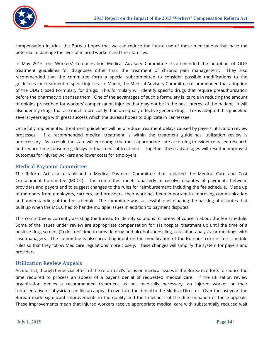

compensation injuries, the Bureau hopes that we can reduce the future use of these medications that have the potential to damage the lives of injured workers and their families.

In May 2015, the Workers' Compensation Medical Advisory Committee recommended the adoption of ODG treatment guidelines for diagnoses other than the treatment of chronic pain management. They also recommended that the committee form a special subcommittee to consider possible modifications to the guidelines for treatment of spinal injuries. In March, the Medical Advisory Committee recommended that adoption of the ODG Closed Formulary for drugs. This formulary will identify specific drugs that require preauthorization before the pharmacy dispenses them. One of the advantages of such a formulary is its role in reducing the amount of opioids prescribed for workers' compensation injuries that may not be in the best interest of the patient. It will also identify drugs that are much more costly than an equally effective generic drug. Texas adopted this guideline several years ago with great success which the Bureau hopes to duplicate in Tennessee.

Once fully implemented, treatment guidelines will help reduce treatment delays caused by payers' utilization review processes. If a recommended medical treatment is within the treatment guidelines, utilization review is unnecessary. As a result, the state will encourage the most appropriate care according to evidence based research and reduce time consuming delays in that medical treatment. Together these advantages will result in improved outcomes for injured workers and lower costs for employers.

## **Medical Payment Committee**

The Reform Act also established a Medical Payment Committee that replaced the Medical Care and Cost Containment Committee (MCCC). The committee meets quarterly to resolve disputes of payments between providers and payers and to suggest changes to the rules for reimbursement, including the fee schedule. Made up of members from employers, carriers, and providers, their work has been important in improving communication and understanding of the fee schedule. The committee was successful in eliminating the backlog of disputes that built up when the MCCC had to handle multiple issues in addition to payment disputes.

This committee is currently assisting the Bureau to identify solutions for areas of concern about the fee schedule. Some of the issues under review are appropriate compensation for: (1) hospital treatment up until the time of a positive drug screen; (2) doctors' time to provide drug and alcohol counseling, causation analysis, or meetings with case managers. The committee is also providing input on the modification of the Bureau's current fee schedule rules so that they follow Medicare regulations more closely. These changes will simplify the system for payers and providers.

#### **Utilization Review Appeals**

An indirect, though beneficial effect of the reform act's focus on medical issues is the Bureau's efforts to reduce the time required to process an appeal of a payer's denial of requested medical care. If the utilization review organization denies a recommended treatment as not medically necessary, an injured worker or their representative or physician can file an appeal to overturn the denial to the Medical Director. Over the last year, the Bureau made significant improvements in the quality and the timeliness of the determination of these appeals. These improvements mean that injured workers receive appropriate medical care with substantially reduced wait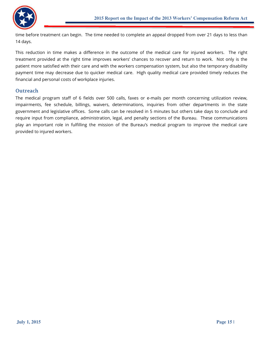

time before treatment can begin. The time needed to complete an appeal dropped from over 21 days to less than 14 days.

This reduction in time makes a difference in the outcome of the medical care for injured workers. The right treatment provided at the right time improves workers' chances to recover and return to work. Not only is the patient more satisfied with their care and with the workers compensation system, but also the temporary disability payment time may decrease due to quicker medical care. High quality medical care provided timely reduces the financial and personal costs of workplace injuries.

#### **Outreach**

The medical program staff of 6 fields over 500 calls, faxes or e-mails per month concerning utilization review, impairments, fee schedule, billings, waivers, determinations, inquiries from other departments in the state government and legislative offices. Some calls can be resolved in 5 minutes but others take days to conclude and require input from compliance, administration, legal, and penalty sections of the Bureau. These communications play an important role in fulfilling the mission of the Bureau's medical program to improve the medical care provided to injured workers.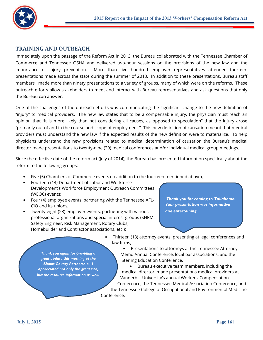

## **TRAINING AND OUTREACH**

Immediately upon the passage of the Reform Act in 2013, the Bureau collaborated with the Tennessee Chamber of Commerce and Tennessee OSHA and delivered two-hour sessions on the provisions of the new law and the importance of injury prevention. More than five hundred employer representatives attended fourteen presentations made across the state during the summer of 2013. In addition to these presentations, Bureau staff members made more than ninety presentations to a variety of groups, many of which were on the reforms. These outreach efforts allow stakeholders to meet and interact with Bureau representatives and ask questions that only the Bureau can answer.

One of the challenges of the outreach efforts was communicating the significant change to the new definition of "injury" to medical providers. The new law states that to be a compensable injury, the physician must reach an opinion that "it is more likely than not considering all causes, as opposed to speculation" that the injury arose "primarily out of and in the course and scope of employment." This new definition of causation meant that medical providers must understand the new law if the expected results of the new definition were to materialize. To help physicians understand the new provisions related to medical determination of causation the Bureau's medical director made presentations to twenty-nine (29) medical conferences and/or individual medical group meetings.

Since the effective date of the reform act (July of 2014), the Bureau has presented information specifically about the reform to the following groups:

- Five (5) Chambers of Commerce events (in addition to the fourteen mentioned above);
- Fourteen (14) Department of Labor and Workforce Development's Workforce Employment Outreach Committees (WEOC) events;
- Four (4) employee events, partnering with the Tennessee AFL-CIO and its unions;
- Twenty-eight (28) employer events, partnering with various professional organizations and special interest groups (SHRM, Safety Engineer, Risk Management, Rotary Clubs, Homebuilder and Contractor associations, etc.);

Thank you for coming to Tullahoma. Your presentation was informative and entertaining.

Thank you again for providing a great update this morning at the **Blount County Partnership. 1** appreciated not only the great tips, but the resource information as well.

- Thirteen (13) attorney events, presenting at legal conferences and law firms:
	- Presentations to attorneys at the Tennessee Attorney Memo Annual Conference, local bar associations, and the **Sterling Education Conference.**

Bureau executive team members, including the  $\bullet$ medical director, made presentations medical providers at Vanderbilt University's annual Workers' Compensation Conference, the Tennessee Medical Association Conference, and the Tennessee College of Occupational and Environmental Medicine Conference.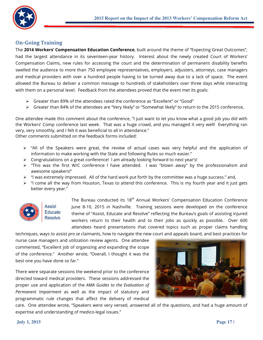

#### **On-Going Training**

The 2014 Workers' Compensation Education Conference, built around the theme of "Expecting Great Outcomes", had the largest attendance in its seventeen-year history. Interest about the newly created Court of Workers' Compensation Claims, new rules for accessing the court and the determination of permanent disability benefits swelled the audience to more than 750 employee representatives, employers, adjusters, attorneys, case managers and medical providers with over a hundred people having to be turned away due to a lack of space. The event allowed the Bureau to deliver a common message to hundreds of stakeholders over three days while interacting with them on a personal level. Feedback from the attendees proved that the event met its goals:

- Simulation 20% of the attendees rated the conference as "Excellent" or "Good"
- ► Greater than 84% of the attendees are "Very likely" or "Somewhat likely" to return to the 2015 conference,

One attendee made this comment about the conference, "I just want to let you know what a good job you did with the Workers' Comp conference last week. That was a huge crowd, and you managed it very well! Everything ran very, very smoothly, and I felt it was beneficial to all in attendance."

Other comments submitted on the feedback forms included:

- $\triangleright$  "All of the Speakers were great, the review of actual cases was very helpful and the application of information to make working with the State and following Rules so much easier."
- $\triangleright$  Congratulations on a great conference! I am already looking forward to next year's!
- $\triangleright$  "This was the first W/C conference I have attended. I was "blown away" by the professionalism and awesome speakers!"
- > "I was extremely impressed. All of the hard work put forth by the committee was a huge success." and,
- $\triangleright$  "I come all the way from Houston, Texas to attend this conference. This is my fourth year and it just gets better every year."



Assist **Educate Resolve** 

The Bureau conducted its 18<sup>th</sup> Annual Workers' Compensation Education Conference June 8-10, 2015 in Nashville. Training sessions were developed on the conference theme of "Assist, Educate and Resolve" reflecting the Bureau's goals of assisting injured workers return to their health and to their jobs as quickly as possible. Over 600 attendees heard presentations that covered topics such as proper claims handling

techniques, ways to assist pro se claimants, how to navigate the new court and appeals board, and best practices for nurse case managers and utilization review agents. One attendee commented, "Excellent job of organizing and expanding the scope of the conference." Another wrote, "Overall, I thought it was the best one you have done so far."

There were separate sessions the weekend prior to the conference directed toward medical providers. These sessions addressed the proper use and application of the AMA Guides to the Evaluation of Permanent Impairment as well as the impact of statutory and programmatic rule changes that affect the delivery of medical



care. One attendee wrote, "Speakers were very versed, answered all of the questions, and had a huge amount of expertise and understanding of medico-legal issues."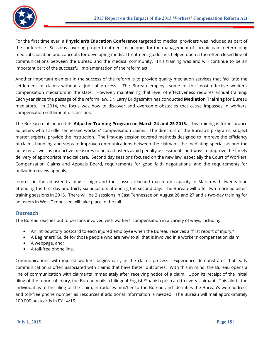

For the first time ever, a **Physician's Education Conference** targeted to medical providers was included as part of the conference. Sessions covering proper treatment techniques for the management of chronic pain, determining medical causation and concepts for developing medical treatment guidelines helped open a too-often closed line of communications between the Bureau and the medical community. This training was and will continue to be an important part of the successful implementation of the reform act.

Another important element in the success of the reform is to provide quality mediation services that facilitate the settlement of claims without a judicial process. The Bureau employs some of the most effective workers' compensation mediators in the state. However, maintaining that level of effectiveness requires annual training. Each year since the passage of the reform law, Dr. Larry Bridgesmith has conducted Mediation Training for Bureau mediators. In 2014, the focus was how to discover and overcome obstacles that cause impasses in workers' compensation settlement discussions.

The Bureau reintroduced its Adjuster Training Program on March 24 and 25 2015. This training is for insurance adjusters who handle Tennessee workers' compensation claims. The directors of the Bureau's programs, subject matter experts, provide the instruction. The first-day session covered methods designed to improve the efficiency of claims handling and steps to improve communications between the claimant, the mediating specialists and the adjuster as well as pro-active measures to help adjusters avoid penalty assessments and ways to improve the timely delivery of appropriate medical care. Second day sessions focused on the new law, especially the Court of Workers' Compensation Claims and Appeals Board, requirements for good faith negotiations, and the requirements for utilization review appeals.

Interest in the adjuster training is high and the classes reached maximum capacity in March with twenty-nine attending the first day and thirty-six adjusters attending the second day. The Bureau will offer two more adjustertraining sessions in 2015. There will be 2 sessions in East Tennessee on August 26 and 27 and a two-day training for adjusters in West Tennessee will take place in the fall.

## **Outreach**

The Bureau reaches out to persons involved with workers' compensation in a variety of ways, including:

- An introductory postcard to each injured employee when the Bureau receives a "first report of injury;"
- A Beginners' Guide for those people who are new to all that is involved in a workers' compensation claim;
- A webpage, and;
- A toll-free phone line.

Communications with injured workers begins early in the claims process. Experience demonstrates that early communication is often associated with claims that have better outcomes. With this in mind, the Bureau opens a line of communication with claimants immediately after receiving notice of a claim. Upon its receipt of the initial filing of the report of injury, the Bureau mails a bilingual English/Spanish postcard to every claimant. This alerts the individual as to the filing of the claim, introduces him/her to the Bureau and identifies the Bureau's web address and toll-free phone number as resources if additional information is needed. The Bureau will mail approximately 100,000 postcards in FY 14/15.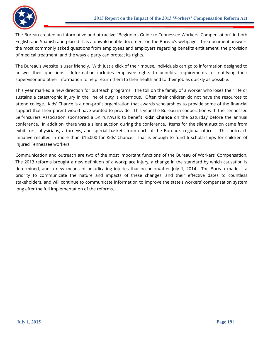

The Bureau created an informative and attractive "Beginners Guide to Tennessee Workers' Compensation" in both English and Spanish and placed it as a downloadable document on the Bureau's webpage. The document answers the most commonly asked questions from employees and employers regarding benefits entitlement, the provision of medical treatment, and the ways a party can protect its rights.

The Bureau's website is user friendly. With just a click of their mouse, individuals can go to information designed to answer their questions. Information includes employee rights to benefits, requirements for notifying their supervisor and other information to help return them to their health and to their job as quickly as possible.

This year marked a new direction for outreach programs. The toll on the family of a worker who loses their life or sustains a catastrophic injury in the line of duty is enormous. Often their children do not have the resources to attend college. Kids' Chance is a non-profit organization that awards scholarships to provide some of the financial support that their parent would have wanted to provide. This year the Bureau in cooperation with the Tennessee Self-Insurers Association sponsored a 5K run/walk to benefit Kids' Chance on the Saturday before the annual conference. In addition, there was a silent auction during the conference. Items for the silent auction came from exhibitors, physicians, attorneys, and special baskets from each of the Bureau's regional offices. This outreach initiative resulted in more than \$16,000 for Kids' Chance. That is enough to fund 6 scholarships for children of injured Tennessee workers.

Communication and outreach are two of the most important functions of the Bureau of Workers' Compensation. The 2013 reforms brought a new definition of a workplace injury, a change in the standard by which causation is determined, and a new means of adjudicating injuries that occur on/after July 1, 2014. The Bureau made it a priority to communicate the nature and impacts of these changes, and their effective dates to countless stakeholders, and will continue to communicate information to improve the state's workers' compensation system long after the full implementation of the reforms.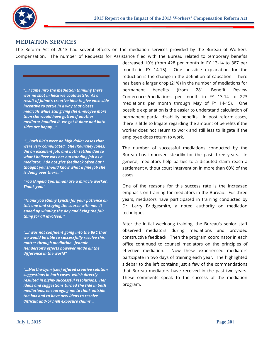

# **MEDIATION SERVICES**

The Reform Act of 2013 had several effects on the mediation services provided by the Bureau of Workers' Compensation. The number of Requests for Assistance filed with the Bureau related to temporary benefits

"...I came into the mediation thinking there was no shot in heck we could settle. As a result of Jaime's creative idea to give each side incentive to settle in a way that closes medicals while still giving the employee more than she would have gotten if another mediator handled it, we got it done and both sides are happy..."

"... Both BRCs were on high dollar cases that were very complicated. She (Kourtney Jones) did an excellent job, and both settled due to what I believe was her outstanding job as a mediator. I do not give feedback often but I thought you should know what a fine job she is doing over there..."

"You (Angela Sparkman) are a miracle worker. **Thank you."** 

"Thank you (Ginny Lynch) for your patience on this one and staying the course with me. It ended up winning the day and being the fair thing for all involved. "

"... I was not confident going into the BRC that we would be able to successfully resolve this matter through mediation. Jeannie Henderson's efforts however made all the difference in the world"

"...Martha-Lynn (Lee) offered creative solution suggestions in both cases, which directly resulted in highly successful resolutions. Her ideas and suggestions turned the tide in both mediations, encouraging me to think outside the box and to have new ideas to resolve difficult and/or high exposure claims...

decreased 10% (from 428 per month in FY 13-14 to 387 per month in FY 14-15). One possible explanation for the reduction is the change in the definition of causation. There has been a larger drop (21%) in the number of mediations for permanent benefits (from 281 Benefit Review Conferences/mediations per month in FY 13-14 to 223 mediations per month through May of FY 14-15). One possible explanation is the easier to understand calculation of permanent partial disability benefits. In post reform cases, there is little to litigate regarding the amount of benefits if the worker does not return to work and still less to litigate if the employee does return to work.

The number of successful mediations conducted by the Bureau has improved steadily for the past three years. In general, mediators help parties to a disputed claim reach a settlement without court intervention in more than 60% of the cases.

One of the reasons for this success rate is the increased emphasis on training for mediators in the Bureau. For three years, mediators have participated in training conducted by Dr. Larry Bridgesmith, a noted authority on mediation techniques.

After the initial weeklong training, the Bureau's senior staff observed mediators during mediations and provided constructive feedback. Then the program coordinator in each office continued to counsel mediators on the principles of effective mediation. Now these experienced mediators participate in two days of training each year. The highlighted sidebar to the left contains just a few of the commendations that Bureau mediators have received in the past two years. These comments speak to the success of the mediation program.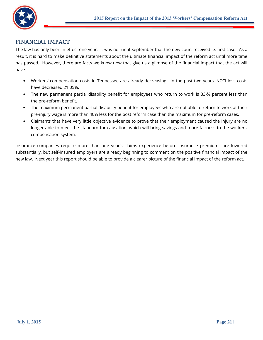

# **FINANCIAL IMPACT**

The law has only been in effect one year. It was not until September that the new court received its first case. As a result, it is hard to make definitive statements about the ultimate financial impact of the reform act until more time has passed. However, there are facts we know now that give us a glimpse of the financial impact that the act will have.

- Workers' compensation costs in Tennessee are already decreasing. In the past two years, NCCI loss costs have decreased 21.05%.
- The new permanent partial disability benefit for employees who return to work is 33-% percent less than the pre-reform benefit.
- The maximum permanent partial disability benefit for employees who are not able to return to work at their pre-injury wage is more than 40% less for the post reform case than the maximum for pre-reform cases.
- Claimants that have very little objective evidence to prove that their employment caused the injury are no longer able to meet the standard for causation, which will bring savings and more fairness to the workers' compensation system.

Insurance companies require more than one year's claims experience before insurance premiums are lowered substantially, but self-insured employers are already beginning to comment on the positive financial impact of the new law. Next year this report should be able to provide a clearer picture of the financial impact of the reform act.